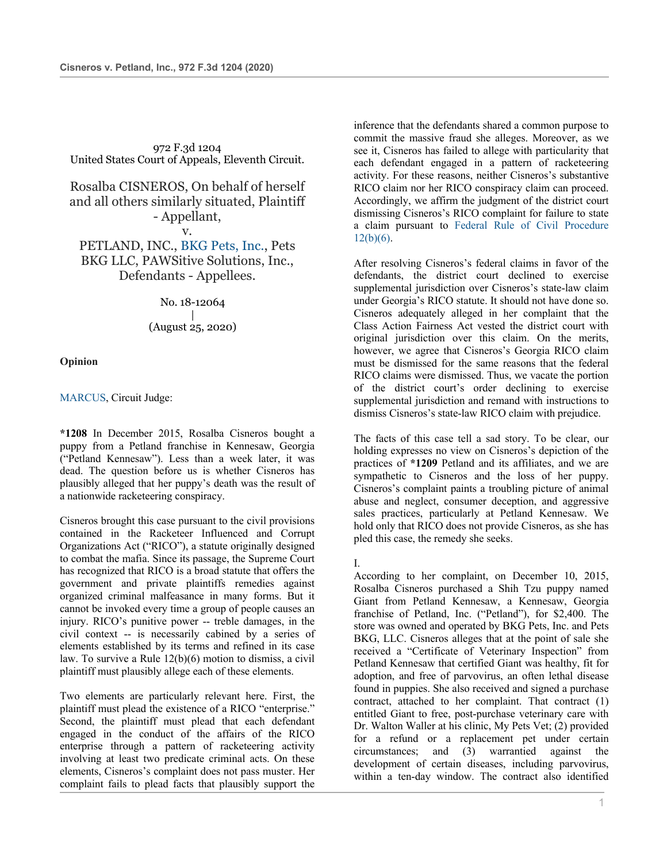972 F.3d 1204 United States Court of Appeals, Eleventh Circuit.

Rosalba CISNEROS, On behalf of herself and all others similarly situated, Plaintiff - Appellant,

### v.

PETLAND, INC., BKG Pets, Inc., Pets BKG LLC, PAWSitive Solutions, Inc., Defendants - Appellees.

> No. 18-12064 | (August 25, 2020)

**Opinion**

MARCUS, Circuit Judge:

**\*1208** In December 2015, Rosalba Cisneros bought a puppy from a Petland franchise in Kennesaw, Georgia ("Petland Kennesaw"). Less than a week later, it was dead. The question before us is whether Cisneros has plausibly alleged that her puppy's death was the result of a nationwide racketeering conspiracy.

Cisneros brought this case pursuant to the civil provisions contained in the Racketeer Influenced and Corrupt Organizations Act ("RICO"), a statute originally designed to combat the mafia. Since its passage, the Supreme Court has recognized that RICO is a broad statute that offers the government and private plaintiffs remedies against organized criminal malfeasance in many forms. But it cannot be invoked every time a group of people causes an injury. RICO's punitive power -- treble damages, in the civil context -- is necessarily cabined by a series of elements established by its terms and refined in its case law. To survive a Rule 12(b)(6) motion to dismiss, a civil plaintiff must plausibly allege each of these elements.

Two elements are particularly relevant here. First, the plaintiff must plead the existence of a RICO "enterprise." Second, the plaintiff must plead that each defendant engaged in the conduct of the affairs of the RICO enterprise through a pattern of racketeering activity involving at least two predicate criminal acts. On these elements, Cisneros's complaint does not pass muster. Her complaint fails to plead facts that plausibly support the

inference that the defendants shared a common purpose to commit the massive fraud she alleges. Moreover, as we see it, Cisneros has failed to allege with particularity that each defendant engaged in a pattern of racketeering activity. For these reasons, neither Cisneros's substantive RICO claim nor her RICO conspiracy claim can proceed. Accordingly, we affirm the judgment of the district court dismissing Cisneros's RICO complaint for failure to state a claim pursuant to Federal Rule of Civil Procedure  $12(b)(6)$ .

After resolving Cisneros's federal claims in favor of the defendants, the district court declined to exercise supplemental jurisdiction over Cisneros's state-law claim under Georgia's RICO statute. It should not have done so. Cisneros adequately alleged in her complaint that the Class Action Fairness Act vested the district court with original jurisdiction over this claim. On the merits, however, we agree that Cisneros's Georgia RICO claim must be dismissed for the same reasons that the federal RICO claims were dismissed. Thus, we vacate the portion of the district court's order declining to exercise supplemental jurisdiction and remand with instructions to dismiss Cisneros's state-law RICO claim with prejudice.

The facts of this case tell a sad story. To be clear, our holding expresses no view on Cisneros's depiction of the practices of **\*1209** Petland and its affiliates, and we are sympathetic to Cisneros and the loss of her puppy. Cisneros's complaint paints a troubling picture of animal abuse and neglect, consumer deception, and aggressive sales practices, particularly at Petland Kennesaw. We hold only that RICO does not provide Cisneros, as she has pled this case, the remedy she seeks.

I.

According to her complaint, on December 10, 2015, Rosalba Cisneros purchased a Shih Tzu puppy named Giant from Petland Kennesaw, a Kennesaw, Georgia franchise of Petland, Inc. ("Petland"), for \$2,400. The store was owned and operated by BKG Pets, Inc. and Pets BKG, LLC. Cisneros alleges that at the point of sale she received a "Certificate of Veterinary Inspection" from Petland Kennesaw that certified Giant was healthy, fit for adoption, and free of parvovirus, an often lethal disease found in puppies. She also received and signed a purchase contract, attached to her complaint. That contract (1) entitled Giant to free, post-purchase veterinary care with Dr. Walton Waller at his clinic, My Pets Vet; (2) provided for a refund or a replacement pet under certain circumstances; and (3) warrantied against the development of certain diseases, including parvovirus, within a ten-day window. The contract also identified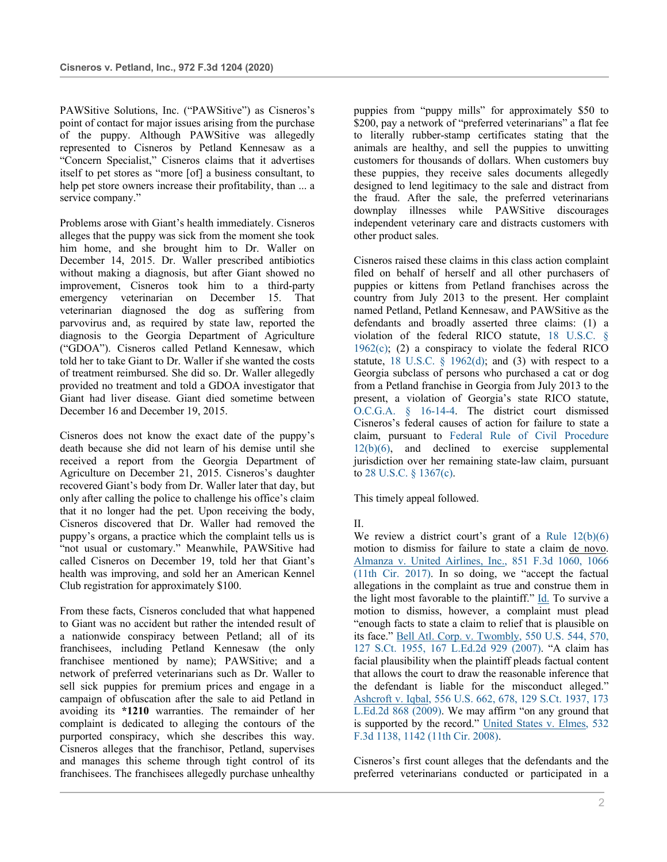PAWSitive Solutions, Inc. ("PAWSitive") as Cisneros's point of contact for major issues arising from the purchase of the puppy. Although PAWSitive was allegedly represented to Cisneros by Petland Kennesaw as a "Concern Specialist," Cisneros claims that it advertises itself to pet stores as "more [of] a business consultant, to help pet store owners increase their profitability, than ... a service company."

Problems arose with Giant's health immediately. Cisneros alleges that the puppy was sick from the moment she took him home, and she brought him to Dr. Waller on December 14, 2015. Dr. Waller prescribed antibiotics without making a diagnosis, but after Giant showed no improvement, Cisneros took him to a third-party emergency veterinarian on December 15. That veterinarian diagnosed the dog as suffering from parvovirus and, as required by state law, reported the diagnosis to the Georgia Department of Agriculture ("GDOA"). Cisneros called Petland Kennesaw, which told her to take Giant to Dr. Waller if she wanted the costs of treatment reimbursed. She did so. Dr. Waller allegedly provided no treatment and told a GDOA investigator that Giant had liver disease. Giant died sometime between December 16 and December 19, 2015.

Cisneros does not know the exact date of the puppy's death because she did not learn of his demise until she received a report from the Georgia Department of Agriculture on December 21, 2015. Cisneros's daughter recovered Giant's body from Dr. Waller later that day, but only after calling the police to challenge his office's claim that it no longer had the pet. Upon receiving the body, Cisneros discovered that Dr. Waller had removed the puppy's organs, a practice which the complaint tells us is "not usual or customary." Meanwhile, PAWSitive had called Cisneros on December 19, told her that Giant's health was improving, and sold her an American Kennel Club registration for approximately \$100.

From these facts, Cisneros concluded that what happened to Giant was no accident but rather the intended result of a nationwide conspiracy between Petland; all of its franchisees, including Petland Kennesaw (the only franchisee mentioned by name); PAWSitive; and a network of preferred veterinarians such as Dr. Waller to sell sick puppies for premium prices and engage in a campaign of obfuscation after the sale to aid Petland in avoiding its **\*1210** warranties. The remainder of her complaint is dedicated to alleging the contours of the purported conspiracy, which she describes this way. Cisneros alleges that the franchisor, Petland, supervises and manages this scheme through tight control of its franchisees. The franchisees allegedly purchase unhealthy puppies from "puppy mills" for approximately \$50 to \$200, pay a network of "preferred veterinarians" a flat fee to literally rubber-stamp certificates stating that the animals are healthy, and sell the puppies to unwitting customers for thousands of dollars. When customers buy these puppies, they receive sales documents allegedly designed to lend legitimacy to the sale and distract from the fraud. After the sale, the preferred veterinarians downplay illnesses while PAWSitive discourages independent veterinary care and distracts customers with other product sales.

Cisneros raised these claims in this class action complaint filed on behalf of herself and all other purchasers of puppies or kittens from Petland franchises across the country from July 2013 to the present. Her complaint named Petland, Petland Kennesaw, and PAWSitive as the defendants and broadly asserted three claims: (1) a violation of the federal RICO statute, 18 U.S.C. §  $1962(c)$ ; (2) a conspiracy to violate the federal RICO statute, 18 U.S.C.  $\S$  1962(d); and (3) with respect to a Georgia subclass of persons who purchased a cat or dog from a Petland franchise in Georgia from July 2013 to the present, a violation of Georgia's state RICO statute, O.C.G.A. § 16-14-4. The district court dismissed Cisneros's federal causes of action for failure to state a claim, pursuant to Federal Rule of Civil Procedure 12(b)(6), and declined to exercise supplemental jurisdiction over her remaining state-law claim, pursuant to 28 U.S.C. § 1367(c).

This timely appeal followed.

II.

We review a district court's grant of a Rule  $12(b)(6)$ motion to dismiss for failure to state a claim de novo. Almanza v. United Airlines, Inc., 851 F.3d 1060, 1066 (11th Cir. 2017). In so doing, we "accept the factual allegations in the complaint as true and construe them in the light most favorable to the plaintiff." Id. To survive a motion to dismiss, however, a complaint must plead "enough facts to state a claim to relief that is plausible on its face." Bell Atl. Corp. v. Twombly, 550 U.S. 544, 570, 127 S.Ct. 1955, 167 L.Ed.2d 929 (2007). "A claim has facial plausibility when the plaintiff pleads factual content that allows the court to draw the reasonable inference that the defendant is liable for the misconduct alleged." Ashcroft v. Iqbal, 556 U.S. 662, 678, 129 S.Ct. 1937, 173 L.Ed.2d 868 (2009). We may affirm "on any ground that is supported by the record." United States v. Elmes, 532 F.3d 1138, 1142 (11th Cir. 2008).

Cisneros's first count alleges that the defendants and the preferred veterinarians conducted or participated in a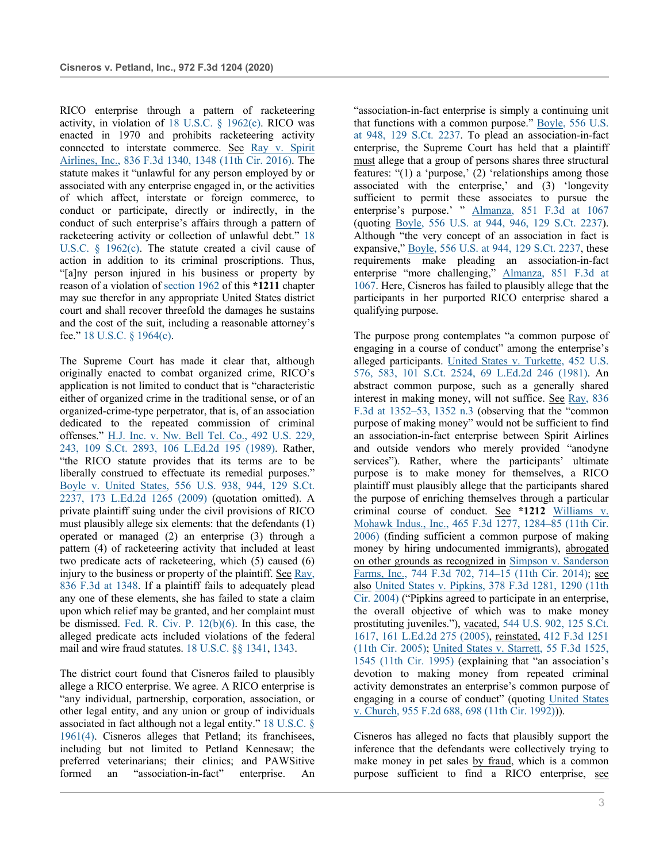RICO enterprise through a pattern of racketeering activity, in violation of 18 U.S.C. § 1962(c). RICO was enacted in 1970 and prohibits racketeering activity connected to interstate commerce. See Ray v. Spirit Airlines, Inc., 836 F.3d 1340, 1348 (11th Cir. 2016). The statute makes it "unlawful for any person employed by or associated with any enterprise engaged in, or the activities of which affect, interstate or foreign commerce, to conduct or participate, directly or indirectly, in the conduct of such enterprise's affairs through a pattern of racketeering activity or collection of unlawful debt." 18 U.S.C. § 1962(c). The statute created a civil cause of action in addition to its criminal proscriptions. Thus, "[a]ny person injured in his business or property by reason of a violation of section 1962 of this **\*1211** chapter may sue therefor in any appropriate United States district court and shall recover threefold the damages he sustains and the cost of the suit, including a reasonable attorney's fee." 18 U.S.C. § 1964(c).

The Supreme Court has made it clear that, although originally enacted to combat organized crime, RICO's application is not limited to conduct that is "characteristic either of organized crime in the traditional sense, or of an organized-crime-type perpetrator, that is, of an association dedicated to the repeated commission of criminal offenses." H.J. Inc. v. Nw. Bell Tel. Co., 492 U.S. 229, 243, 109 S.Ct. 2893, 106 L.Ed.2d 195 (1989). Rather, "the RICO statute provides that its terms are to be liberally construed to effectuate its remedial purposes." Boyle v. United States, 556 U.S. 938, 944, 129 S.Ct. 2237, 173 L.Ed.2d 1265 (2009) (quotation omitted). A private plaintiff suing under the civil provisions of RICO must plausibly allege six elements: that the defendants (1) operated or managed (2) an enterprise (3) through a pattern (4) of racketeering activity that included at least two predicate acts of racketeering, which (5) caused (6) injury to the business or property of the plaintiff. See Ray, 836 F.3d at 1348. If a plaintiff fails to adequately plead any one of these elements, she has failed to state a claim upon which relief may be granted, and her complaint must be dismissed. Fed. R. Civ. P. 12(b)(6). In this case, the alleged predicate acts included violations of the federal mail and wire fraud statutes. 18 U.S.C. §§ 1341, 1343.

The district court found that Cisneros failed to plausibly allege a RICO enterprise. We agree. A RICO enterprise is "any individual, partnership, corporation, association, or other legal entity, and any union or group of individuals associated in fact although not a legal entity." 18 U.S.C. § 1961(4). Cisneros alleges that Petland; its franchisees, including but not limited to Petland Kennesaw; the preferred veterinarians; their clinics; and PAWSitive formed an "association-in-fact" enterprise. An

"association-in-fact enterprise is simply a continuing unit that functions with a common purpose." Boyle, 556 U.S. at 948, 129 S.Ct. 2237. To plead an association-in-fact enterprise, the Supreme Court has held that a plaintiff must allege that a group of persons shares three structural features: "(1) a 'purpose,' (2) 'relationships among those associated with the enterprise,' and (3) 'longevity sufficient to permit these associates to pursue the enterprise's purpose.' " Almanza, 851 F.3d at 1067 (quoting Boyle, 556 U.S. at 944, 946, 129 S.Ct. 2237). Although "the very concept of an association in fact is expansive," Boyle, 556 U.S. at 944, 129 S.Ct. 2237, these requirements make pleading an association-in-fact enterprise "more challenging," Almanza, 851 F.3d at 1067. Here, Cisneros has failed to plausibly allege that the participants in her purported RICO enterprise shared a qualifying purpose.

The purpose prong contemplates "a common purpose of engaging in a course of conduct" among the enterprise's alleged participants. United States v. Turkette, 452 U.S. 576, 583, 101 S.Ct. 2524, 69 L.Ed.2d 246 (1981). An abstract common purpose, such as a generally shared interest in making money, will not suffice. See Ray, 836 F.3d at 1352–53, 1352 n.3 (observing that the "common purpose of making money" would not be sufficient to find an association-in-fact enterprise between Spirit Airlines and outside vendors who merely provided "anodyne services"). Rather, where the participants' ultimate purpose is to make money for themselves, a RICO plaintiff must plausibly allege that the participants shared the purpose of enriching themselves through a particular criminal course of conduct. See **\*1212** Williams v. Mohawk Indus., Inc., 465 F.3d 1277, 1284–85 (11th Cir. 2006) (finding sufficient a common purpose of making money by hiring undocumented immigrants), abrogated on other grounds as recognized in Simpson v. Sanderson Farms, Inc., 744 F.3d 702, 714–15 (11th Cir. 2014); see also United States v. Pipkins, 378 F.3d 1281, 1290 (11th Cir. 2004) ("Pipkins agreed to participate in an enterprise, the overall objective of which was to make money prostituting juveniles."), vacated, 544 U.S. 902, 125 S.Ct. 1617, 161 L.Ed.2d 275 (2005), reinstated, 412 F.3d 1251 (11th Cir. 2005); United States v. Starrett, 55 F.3d 1525, 1545 (11th Cir. 1995) (explaining that "an association's devotion to making money from repeated criminal activity demonstrates an enterprise's common purpose of engaging in a course of conduct" (quoting United States v. Church, 955 F.2d 688, 698 (11th Cir. 1992))).

Cisneros has alleged no facts that plausibly support the inference that the defendants were collectively trying to make money in pet sales by fraud, which is a common purpose sufficient to find a RICO enterprise, see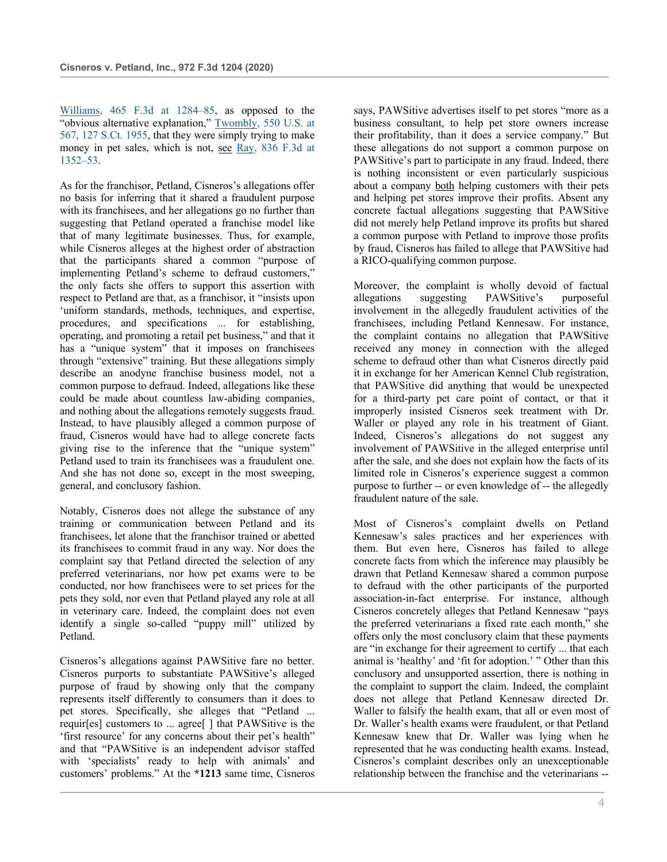Williams, 465 F.3d at 1284–85, as opposed to the "obvious alternative explanation," Twombly, 550 U.S. at 567, 127 S.Ct. 1955, that they were simply trying to make money in pet sales, which is not, see Ray, 836 F.3d at 1352–53.

As for the franchisor, Petland, Cisneros's allegations offer no basis for inferring that it shared a fraudulent purpose with its franchisees, and her allegations go no further than suggesting that Petland operated a franchise model like that of many legitimate businesses. Thus, for example, while Cisneros alleges at the highest order of abstraction that the participants shared a common "purpose of implementing Petland's scheme to defraud customers," the only facts she offers to support this assertion with respect to Petland are that, as a franchisor, it "insists upon 'uniform standards, methods, techniques, and expertise, procedures, and specifications ... for establishing, operating, and promoting a retail pet business," and that it has a "unique system" that it imposes on franchisees through "extensive" training. But these allegations simply describe an anodyne franchise business model, not a common purpose to defraud. Indeed, allegations like these could be made about countless law-abiding companies, and nothing about the allegations remotely suggests fraud. Instead, to have plausibly alleged a common purpose of fraud, Cisneros would have had to allege concrete facts giving rise to the inference that the "unique system" Petland used to train its franchisees was a fraudulent one. And she has not done so, except in the most sweeping, general, and conclusory fashion.

Notably, Cisneros does not allege the substance of any training or communication between Petland and its franchisees, let alone that the franchisor trained or abetted its franchisees to commit fraud in any way. Nor does the complaint say that Petland directed the selection of any preferred veterinarians, nor how pet exams were to be conducted, nor how franchisees were to set prices for the pets they sold, nor even that Petland played any role at all in veterinary care. Indeed, the complaint does not even identify a single so-called "puppy mill" utilized by Petland.

Cisneros's allegations against PAWSitive fare no better. Cisneros purports to substantiate PAWSitive's alleged purpose of fraud by showing only that the company represents itself differently to consumers than it does to pet stores. Specifically, she alleges that "Petland ... requir[es] customers to ... agree[ ] that PAWSitive is the 'first resource' for any concerns about their pet's health" and that "PAWSitive is an independent advisor staffed with 'specialists' ready to help with animals' and customers' problems." At the **\*1213** same time, Cisneros says, PAWSitive advertises itself to pet stores "more as a business consultant, to help pet store owners increase their profitability, than it does a service company." But these allegations do not support a common purpose on PAWSitive's part to participate in any fraud. Indeed, there is nothing inconsistent or even particularly suspicious about a company both helping customers with their pets and helping pet stores improve their profits. Absent any concrete factual allegations suggesting that PAWSitive did not merely help Petland improve its profits but shared a common purpose with Petland to improve those profits by fraud, Cisneros has failed to allege that PAWSitive had a RICO-qualifying common purpose.

Moreover, the complaint is wholly devoid of factual allegations suggesting PAWSitive's purposeful involvement in the allegedly fraudulent activities of the franchisees, including Petland Kennesaw. For instance, the complaint contains no allegation that PAWSitive received any money in connection with the alleged scheme to defraud other than what Cisneros directly paid it in exchange for her American Kennel Club registration, that PAWSitive did anything that would be unexpected for a third-party pet care point of contact, or that it improperly insisted Cisneros seek treatment with Dr. Waller or played any role in his treatment of Giant. Indeed, Cisneros's allegations do not suggest any involvement of PAWSitive in the alleged enterprise until after the sale, and she does not explain how the facts of its limited role in Cisneros's experience suggest a common purpose to further -- or even knowledge of -- the allegedly fraudulent nature of the sale.

Most of Cisneros's complaint dwells on Petland Kennesaw's sales practices and her experiences with them. But even here, Cisneros has failed to allege concrete facts from which the inference may plausibly be drawn that Petland Kennesaw shared a common purpose to defraud with the other participants of the purported association-in-fact enterprise. For instance, although Cisneros concretely alleges that Petland Kennesaw "pays the preferred veterinarians a fixed rate each month," she offers only the most conclusory claim that these payments are "in exchange for their agreement to certify ... that each animal is 'healthy' and 'fit for adoption.' " Other than this conclusory and unsupported assertion, there is nothing in the complaint to support the claim. Indeed, the complaint does not allege that Petland Kennesaw directed Dr. Waller to falsify the health exam, that all or even most of Dr. Waller's health exams were fraudulent, or that Petland Kennesaw knew that Dr. Waller was lying when he represented that he was conducting health exams. Instead, Cisneros's complaint describes only an unexceptionable relationship between the franchise and the veterinarians --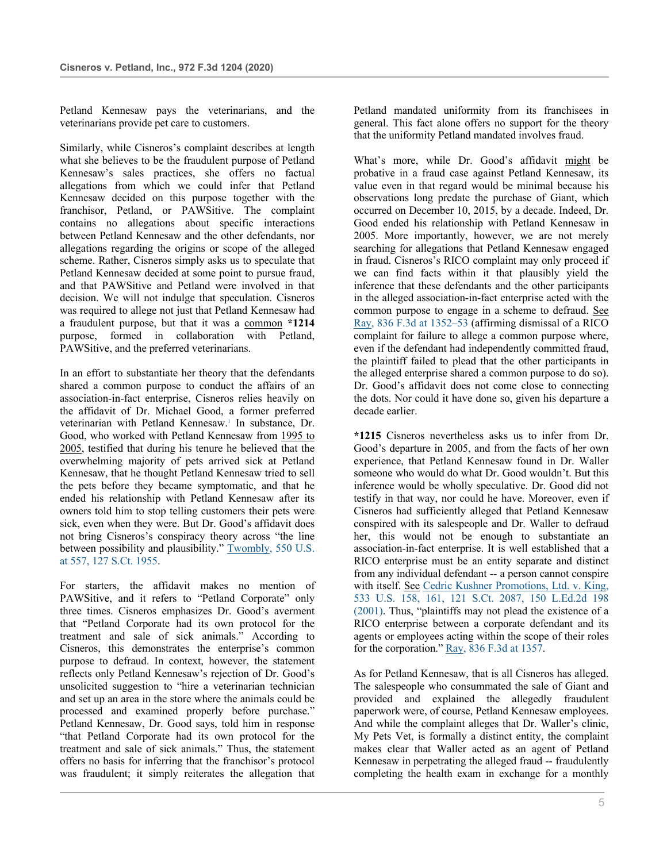Petland Kennesaw pays the veterinarians, and the veterinarians provide pet care to customers.

Similarly, while Cisneros's complaint describes at length what she believes to be the fraudulent purpose of Petland Kennesaw's sales practices, she offers no factual allegations from which we could infer that Petland Kennesaw decided on this purpose together with the franchisor, Petland, or PAWSitive. The complaint contains no allegations about specific interactions between Petland Kennesaw and the other defendants, nor allegations regarding the origins or scope of the alleged scheme. Rather, Cisneros simply asks us to speculate that Petland Kennesaw decided at some point to pursue fraud, and that PAWSitive and Petland were involved in that decision. We will not indulge that speculation. Cisneros was required to allege not just that Petland Kennesaw had a fraudulent purpose, but that it was a common **\*1214** purpose, formed in collaboration with Petland, PAWSitive, and the preferred veterinarians.

In an effort to substantiate her theory that the defendants shared a common purpose to conduct the affairs of an association-in-fact enterprise, Cisneros relies heavily on the affidavit of Dr. Michael Good, a former preferred veterinarian with Petland Kennesaw.<sup>1</sup> In substance, Dr. Good, who worked with Petland Kennesaw from 1995 to 2005, testified that during his tenure he believed that the overwhelming majority of pets arrived sick at Petland Kennesaw, that he thought Petland Kennesaw tried to sell the pets before they became symptomatic, and that he ended his relationship with Petland Kennesaw after its owners told him to stop telling customers their pets were sick, even when they were. But Dr. Good's affidavit does not bring Cisneros's conspiracy theory across "the line between possibility and plausibility." Twombly, 550 U.S. at 557, 127 S.Ct. 1955.

For starters, the affidavit makes no mention of PAWSitive, and it refers to "Petland Corporate" only three times. Cisneros emphasizes Dr. Good's averment that "Petland Corporate had its own protocol for the treatment and sale of sick animals." According to Cisneros, this demonstrates the enterprise's common purpose to defraud. In context, however, the statement reflects only Petland Kennesaw's rejection of Dr. Good's unsolicited suggestion to "hire a veterinarian technician and set up an area in the store where the animals could be processed and examined properly before purchase." Petland Kennesaw, Dr. Good says, told him in response "that Petland Corporate had its own protocol for the treatment and sale of sick animals." Thus, the statement offers no basis for inferring that the franchisor's protocol was fraudulent; it simply reiterates the allegation that

Petland mandated uniformity from its franchisees in general. This fact alone offers no support for the theory that the uniformity Petland mandated involves fraud.

What's more, while Dr. Good's affidavit might be probative in a fraud case against Petland Kennesaw, its value even in that regard would be minimal because his observations long predate the purchase of Giant, which occurred on December 10, 2015, by a decade. Indeed, Dr. Good ended his relationship with Petland Kennesaw in 2005. More importantly, however, we are not merely searching for allegations that Petland Kennesaw engaged in fraud. Cisneros's RICO complaint may only proceed if we can find facts within it that plausibly yield the inference that these defendants and the other participants in the alleged association-in-fact enterprise acted with the common purpose to engage in a scheme to defraud. See Ray, 836 F.3d at 1352–53 (affirming dismissal of a RICO complaint for failure to allege a common purpose where, even if the defendant had independently committed fraud, the plaintiff failed to plead that the other participants in the alleged enterprise shared a common purpose to do so). Dr. Good's affidavit does not come close to connecting the dots. Nor could it have done so, given his departure a decade earlier.

**\*1215** Cisneros nevertheless asks us to infer from Dr. Good's departure in 2005, and from the facts of her own experience, that Petland Kennesaw found in Dr. Waller someone who would do what Dr. Good wouldn't. But this inference would be wholly speculative. Dr. Good did not testify in that way, nor could he have. Moreover, even if Cisneros had sufficiently alleged that Petland Kennesaw conspired with its salespeople and Dr. Waller to defraud her, this would not be enough to substantiate an association-in-fact enterprise. It is well established that a RICO enterprise must be an entity separate and distinct from any individual defendant -- a person cannot conspire with itself. See Cedric Kushner Promotions, Ltd. v. King, 533 U.S. 158, 161, 121 S.Ct. 2087, 150 L.Ed.2d 198 (2001). Thus, "plaintiffs may not plead the existence of a RICO enterprise between a corporate defendant and its agents or employees acting within the scope of their roles for the corporation." Ray, 836 F.3d at 1357.

As for Petland Kennesaw, that is all Cisneros has alleged. The salespeople who consummated the sale of Giant and provided and explained the allegedly fraudulent paperwork were, of course, Petland Kennesaw employees. And while the complaint alleges that Dr. Waller's clinic, My Pets Vet, is formally a distinct entity, the complaint makes clear that Waller acted as an agent of Petland Kennesaw in perpetrating the alleged fraud -- fraudulently completing the health exam in exchange for a monthly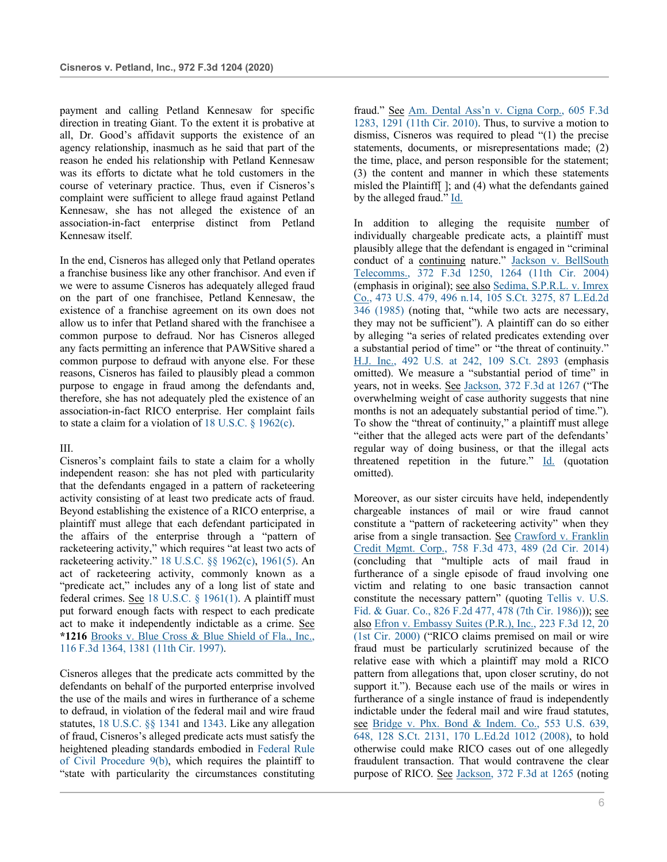payment and calling Petland Kennesaw for specific direction in treating Giant. To the extent it is probative at all, Dr. Good's affidavit supports the existence of an agency relationship, inasmuch as he said that part of the reason he ended his relationship with Petland Kennesaw was its efforts to dictate what he told customers in the course of veterinary practice. Thus, even if Cisneros's complaint were sufficient to allege fraud against Petland Kennesaw, she has not alleged the existence of an association-in-fact enterprise distinct from Petland Kennesaw itself.

In the end, Cisneros has alleged only that Petland operates a franchise business like any other franchisor. And even if we were to assume Cisneros has adequately alleged fraud on the part of one franchisee, Petland Kennesaw, the existence of a franchise agreement on its own does not allow us to infer that Petland shared with the franchisee a common purpose to defraud. Nor has Cisneros alleged any facts permitting an inference that PAWSitive shared a common purpose to defraud with anyone else. For these reasons, Cisneros has failed to plausibly plead a common purpose to engage in fraud among the defendants and, therefore, she has not adequately pled the existence of an association-in-fact RICO enterprise. Her complaint fails to state a claim for a violation of 18 U.S.C.  $\S$  1962(c).

### III.

Cisneros's complaint fails to state a claim for a wholly independent reason: she has not pled with particularity that the defendants engaged in a pattern of racketeering activity consisting of at least two predicate acts of fraud. Beyond establishing the existence of a RICO enterprise, a plaintiff must allege that each defendant participated in the affairs of the enterprise through a "pattern of racketeering activity," which requires "at least two acts of racketeering activity." 18 U.S.C. §§ 1962(c), 1961(5). An act of racketeering activity, commonly known as a "predicate act," includes any of a long list of state and federal crimes. See 18 U.S.C. § 1961(1). A plaintiff must put forward enough facts with respect to each predicate act to make it independently indictable as a crime. See **\*1216** Brooks v. Blue Cross & Blue Shield of Fla., Inc., 116 F.3d 1364, 1381 (11th Cir. 1997).

Cisneros alleges that the predicate acts committed by the defendants on behalf of the purported enterprise involved the use of the mails and wires in furtherance of a scheme to defraud, in violation of the federal mail and wire fraud statutes, 18 U.S.C. §§ 1341 and 1343. Like any allegation of fraud, Cisneros's alleged predicate acts must satisfy the heightened pleading standards embodied in Federal Rule of Civil Procedure 9(b), which requires the plaintiff to "state with particularity the circumstances constituting

fraud." See Am. Dental Ass'n v. Cigna Corp., 605 F.3d 1283, 1291 (11th Cir. 2010). Thus, to survive a motion to dismiss, Cisneros was required to plead "(1) the precise statements, documents, or misrepresentations made; (2) the time, place, and person responsible for the statement; (3) the content and manner in which these statements misled the Plaintiff[ ]; and (4) what the defendants gained by the alleged fraud." Id.

In addition to alleging the requisite number of individually chargeable predicate acts, a plaintiff must plausibly allege that the defendant is engaged in "criminal conduct of a continuing nature." Jackson v. BellSouth Telecomms., 372 F.3d 1250, 1264 (11th Cir. 2004) (emphasis in original); see also Sedima, S.P.R.L. v. Imrex Co., 473 U.S. 479, 496 n.14, 105 S.Ct. 3275, 87 L.Ed.2d 346 (1985) (noting that, "while two acts are necessary, they may not be sufficient"). A plaintiff can do so either by alleging "a series of related predicates extending over a substantial period of time" or "the threat of continuity." H.J. Inc., 492 U.S. at 242, 109 S.Ct. 2893 (emphasis omitted). We measure a "substantial period of time" in years, not in weeks. See Jackson, 372 F.3d at 1267 ("The overwhelming weight of case authority suggests that nine months is not an adequately substantial period of time."). To show the "threat of continuity," a plaintiff must allege "either that the alleged acts were part of the defendants' regular way of doing business, or that the illegal acts threatened repetition in the future."  $Id.$  (quotation omitted).

Moreover, as our sister circuits have held, independently chargeable instances of mail or wire fraud cannot constitute a "pattern of racketeering activity" when they arise from a single transaction. See Crawford v. Franklin Credit Mgmt. Corp., 758 F.3d 473, 489 (2d Cir. 2014) (concluding that "multiple acts of mail fraud in furtherance of a single episode of fraud involving one victim and relating to one basic transaction cannot constitute the necessary pattern" (quoting Tellis v. U.S. Fid. & Guar. Co., 826 F.2d 477, 478 (7th Cir. 1986))); see also Efron v. Embassy Suites (P.R.), Inc., 223 F.3d 12, 20 (1st Cir. 2000) ("RICO claims premised on mail or wire fraud must be particularly scrutinized because of the relative ease with which a plaintiff may mold a RICO pattern from allegations that, upon closer scrutiny, do not support it."). Because each use of the mails or wires in furtherance of a single instance of fraud is independently indictable under the federal mail and wire fraud statutes, see Bridge v. Phx. Bond & Indem. Co., 553 U.S. 639, 648, 128 S.Ct. 2131, 170 L.Ed.2d 1012 (2008), to hold otherwise could make RICO cases out of one allegedly fraudulent transaction. That would contravene the clear purpose of RICO. See Jackson, 372 F.3d at 1265 (noting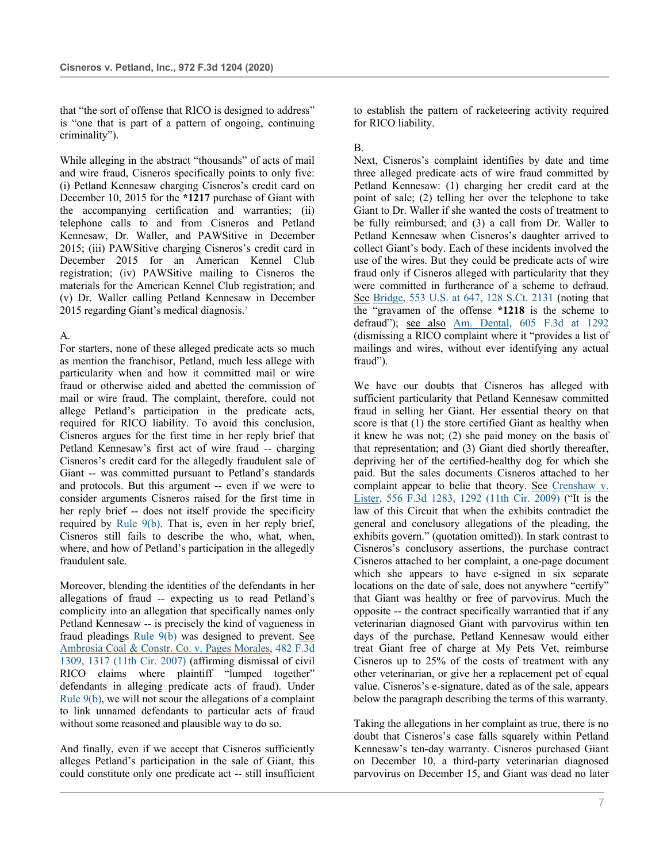that "the sort of offense that RICO is designed to address" is "one that is part of a pattern of ongoing, continuing criminality").

While alleging in the abstract "thousands" of acts of mail and wire fraud, Cisneros specifically points to only five: (i) Petland Kennesaw charging Cisneros's credit card on December 10, 2015 for the **\*1217** purchase of Giant with the accompanying certification and warranties; (ii) telephone calls to and from Cisneros and Petland Kennesaw, Dr. Waller, and PAWSitive in December 2015; (iii) PAWSitive charging Cisneros's credit card in December 2015 for an American Kennel Club registration; (iv) PAWSitive mailing to Cisneros the materials for the American Kennel Club registration; and (v) Dr. Waller calling Petland Kennesaw in December 2015 regarding Giant's medical diagnosis.2

# A.

For starters, none of these alleged predicate acts so much as mention the franchisor, Petland, much less allege with particularity when and how it committed mail or wire fraud or otherwise aided and abetted the commission of mail or wire fraud. The complaint, therefore, could not allege Petland's participation in the predicate acts, required for RICO liability. To avoid this conclusion, Cisneros argues for the first time in her reply brief that Petland Kennesaw's first act of wire fraud -- charging Cisneros's credit card for the allegedly fraudulent sale of Giant -- was committed pursuant to Petland's standards and protocols. But this argument -- even if we were to consider arguments Cisneros raised for the first time in her reply brief -- does not itself provide the specificity required by Rule 9(b). That is, even in her reply brief, Cisneros still fails to describe the who, what, when, where, and how of Petland's participation in the allegedly fraudulent sale.

Moreover, blending the identities of the defendants in her allegations of fraud -- expecting us to read Petland's complicity into an allegation that specifically names only Petland Kennesaw -- is precisely the kind of vagueness in fraud pleadings Rule 9(b) was designed to prevent. See Ambrosia Coal & Constr. Co. v. Pages Morales, 482 F.3d 1309, 1317 (11th Cir. 2007) (affirming dismissal of civil RICO claims where plaintiff "lumped together" defendants in alleging predicate acts of fraud). Under Rule 9(b), we will not scour the allegations of a complaint to link unnamed defendants to particular acts of fraud without some reasoned and plausible way to do so.

And finally, even if we accept that Cisneros sufficiently alleges Petland's participation in the sale of Giant, this could constitute only one predicate act -- still insufficient to establish the pattern of racketeering activity required for RICO liability.

## B.

Next, Cisneros's complaint identifies by date and time three alleged predicate acts of wire fraud committed by Petland Kennesaw: (1) charging her credit card at the point of sale; (2) telling her over the telephone to take Giant to Dr. Waller if she wanted the costs of treatment to be fully reimbursed; and (3) a call from Dr. Waller to Petland Kennesaw when Cisneros's daughter arrived to collect Giant's body. Each of these incidents involved the use of the wires. But they could be predicate acts of wire fraud only if Cisneros alleged with particularity that they were committed in furtherance of a scheme to defraud. See Bridge, 553 U.S. at 647, 128 S.Ct. 2131 (noting that the "gravamen of the offense **\*1218** is the scheme to defraud"); see also Am. Dental, 605 F.3d at 1292 (dismissing a RICO complaint where it "provides a list of mailings and wires, without ever identifying any actual fraud").

We have our doubts that Cisneros has alleged with sufficient particularity that Petland Kennesaw committed fraud in selling her Giant. Her essential theory on that score is that (1) the store certified Giant as healthy when it knew he was not; (2) she paid money on the basis of that representation; and (3) Giant died shortly thereafter, depriving her of the certified-healthy dog for which she paid. But the sales documents Cisneros attached to her complaint appear to belie that theory. See Crenshaw v. Lister, 556 F.3d 1283, 1292 (11th Cir. 2009) ("It is the law of this Circuit that when the exhibits contradict the general and conclusory allegations of the pleading, the exhibits govern." (quotation omitted)). In stark contrast to Cisneros's conclusory assertions, the purchase contract Cisneros attached to her complaint, a one-page document which she appears to have e-signed in six separate locations on the date of sale, does not anywhere "certify" that Giant was healthy or free of parvovirus. Much the opposite -- the contract specifically warrantied that if any veterinarian diagnosed Giant with parvovirus within ten days of the purchase, Petland Kennesaw would either treat Giant free of charge at My Pets Vet, reimburse Cisneros up to 25% of the costs of treatment with any other veterinarian, or give her a replacement pet of equal value. Cisneros's e-signature, dated as of the sale, appears below the paragraph describing the terms of this warranty.

Taking the allegations in her complaint as true, there is no doubt that Cisneros's case falls squarely within Petland Kennesaw's ten-day warranty. Cisneros purchased Giant on December 10, a third-party veterinarian diagnosed parvovirus on December 15, and Giant was dead no later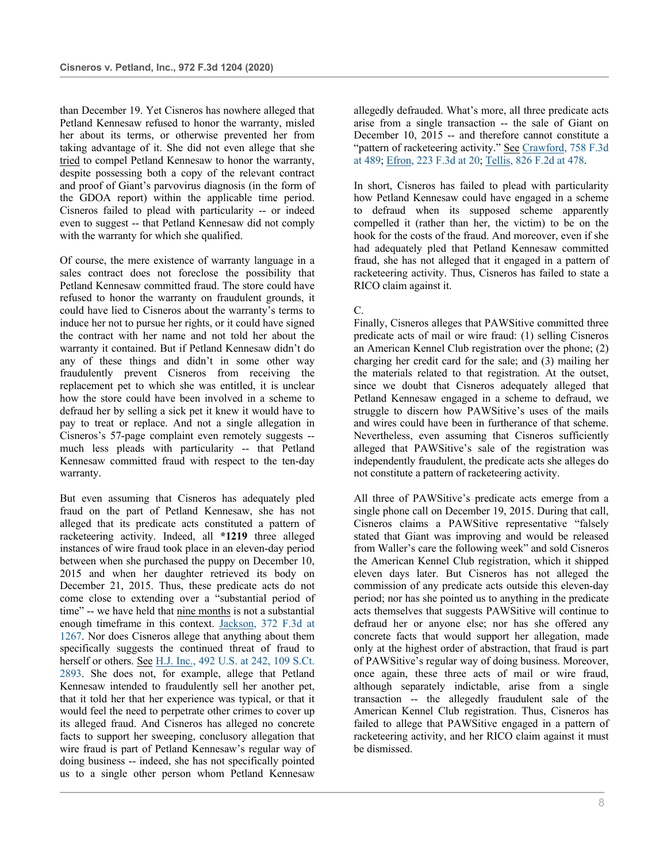than December 19. Yet Cisneros has nowhere alleged that Petland Kennesaw refused to honor the warranty, misled her about its terms, or otherwise prevented her from taking advantage of it. She did not even allege that she tried to compel Petland Kennesaw to honor the warranty, despite possessing both a copy of the relevant contract and proof of Giant's parvovirus diagnosis (in the form of the GDOA report) within the applicable time period. Cisneros failed to plead with particularity -- or indeed even to suggest -- that Petland Kennesaw did not comply with the warranty for which she qualified.

Of course, the mere existence of warranty language in a sales contract does not foreclose the possibility that Petland Kennesaw committed fraud. The store could have refused to honor the warranty on fraudulent grounds, it could have lied to Cisneros about the warranty's terms to induce her not to pursue her rights, or it could have signed the contract with her name and not told her about the warranty it contained. But if Petland Kennesaw didn't do any of these things and didn't in some other way fraudulently prevent Cisneros from receiving the replacement pet to which she was entitled, it is unclear how the store could have been involved in a scheme to defraud her by selling a sick pet it knew it would have to pay to treat or replace. And not a single allegation in Cisneros's 57-page complaint even remotely suggests - much less pleads with particularity -- that Petland Kennesaw committed fraud with respect to the ten-day warranty.

But even assuming that Cisneros has adequately pled fraud on the part of Petland Kennesaw, she has not alleged that its predicate acts constituted a pattern of racketeering activity. Indeed, all **\*1219** three alleged instances of wire fraud took place in an eleven-day period between when she purchased the puppy on December 10, 2015 and when her daughter retrieved its body on December 21, 2015. Thus, these predicate acts do not come close to extending over a "substantial period of time" -- we have held that nine months is not a substantial enough timeframe in this context. Jackson, 372 F.3d at 1267. Nor does Cisneros allege that anything about them specifically suggests the continued threat of fraud to herself or others. See H.J. Inc., 492 U.S. at 242, 109 S.Ct. 2893. She does not, for example, allege that Petland Kennesaw intended to fraudulently sell her another pet, that it told her that her experience was typical, or that it would feel the need to perpetrate other crimes to cover up its alleged fraud. And Cisneros has alleged no concrete facts to support her sweeping, conclusory allegation that wire fraud is part of Petland Kennesaw's regular way of doing business -- indeed, she has not specifically pointed us to a single other person whom Petland Kennesaw

allegedly defrauded. What's more, all three predicate acts arise from a single transaction -- the sale of Giant on December 10, 2015 -- and therefore cannot constitute a "pattern of racketeering activity." See Crawford, 758 F.3d at 489; Efron, 223 F.3d at 20; Tellis, 826 F.2d at 478.

In short, Cisneros has failed to plead with particularity how Petland Kennesaw could have engaged in a scheme to defraud when its supposed scheme apparently compelled it (rather than her, the victim) to be on the hook for the costs of the fraud. And moreover, even if she had adequately pled that Petland Kennesaw committed fraud, she has not alleged that it engaged in a pattern of racketeering activity. Thus, Cisneros has failed to state a RICO claim against it.

### C.

Finally, Cisneros alleges that PAWSitive committed three predicate acts of mail or wire fraud: (1) selling Cisneros an American Kennel Club registration over the phone; (2) charging her credit card for the sale; and (3) mailing her the materials related to that registration. At the outset, since we doubt that Cisneros adequately alleged that Petland Kennesaw engaged in a scheme to defraud, we struggle to discern how PAWSitive's uses of the mails and wires could have been in furtherance of that scheme. Nevertheless, even assuming that Cisneros sufficiently alleged that PAWSitive's sale of the registration was independently fraudulent, the predicate acts she alleges do not constitute a pattern of racketeering activity.

All three of PAWSitive's predicate acts emerge from a single phone call on December 19, 2015. During that call, Cisneros claims a PAWSitive representative "falsely stated that Giant was improving and would be released from Waller's care the following week" and sold Cisneros the American Kennel Club registration, which it shipped eleven days later. But Cisneros has not alleged the commission of any predicate acts outside this eleven-day period; nor has she pointed us to anything in the predicate acts themselves that suggests PAWSitive will continue to defraud her or anyone else; nor has she offered any concrete facts that would support her allegation, made only at the highest order of abstraction, that fraud is part of PAWSitive's regular way of doing business. Moreover, once again, these three acts of mail or wire fraud, although separately indictable, arise from a single transaction -- the allegedly fraudulent sale of the American Kennel Club registration. Thus, Cisneros has failed to allege that PAWSitive engaged in a pattern of racketeering activity, and her RICO claim against it must be dismissed.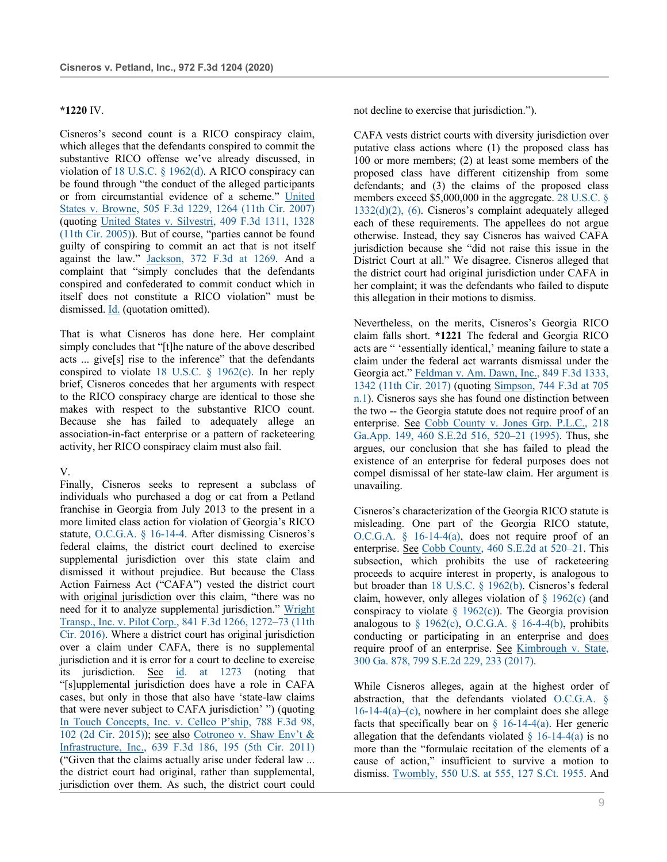#### **\*1220** IV.

Cisneros's second count is a RICO conspiracy claim, which alleges that the defendants conspired to commit the substantive RICO offense we've already discussed, in violation of 18 U.S.C. § 1962(d). A RICO conspiracy can be found through "the conduct of the alleged participants or from circumstantial evidence of a scheme." United States v. Browne, 505 F.3d 1229, 1264 (11th Cir. 2007) (quoting United States v. Silvestri, 409 F.3d 1311, 1328 (11th Cir. 2005)). But of course, "parties cannot be found guilty of conspiring to commit an act that is not itself against the law." Jackson, 372 F.3d at 1269. And a complaint that "simply concludes that the defendants conspired and confederated to commit conduct which in itself does not constitute a RICO violation" must be dismissed. Id. (quotation omitted).

That is what Cisneros has done here. Her complaint simply concludes that "[t]he nature of the above described acts ... give[s] rise to the inference" that the defendants conspired to violate 18 U.S.C. § 1962(c). In her reply brief, Cisneros concedes that her arguments with respect to the RICO conspiracy charge are identical to those she makes with respect to the substantive RICO count. Because she has failed to adequately allege an association-in-fact enterprise or a pattern of racketeering activity, her RICO conspiracy claim must also fail.

#### V.

Finally, Cisneros seeks to represent a subclass of individuals who purchased a dog or cat from a Petland franchise in Georgia from July 2013 to the present in a more limited class action for violation of Georgia's RICO statute, O.C.G.A. § 16-14-4. After dismissing Cisneros's federal claims, the district court declined to exercise supplemental jurisdiction over this state claim and dismissed it without prejudice. But because the Class Action Fairness Act ("CAFA") vested the district court with <u>original jurisdiction</u> over this claim, "there was no need for it to analyze supplemental jurisdiction." Wright Transp., Inc. v. Pilot Corp., 841 F.3d 1266, 1272–73 (11th Cir. 2016). Where a district court has original jurisdiction over a claim under CAFA, there is no supplemental jurisdiction and it is error for a court to decline to exercise its jurisdiction. See id. at 1273 (noting that "[s]upplemental jurisdiction does have a role in CAFA cases, but only in those that also have 'state-law claims that were never subject to CAFA jurisdiction' ") (quoting In Touch Concepts, Inc. v. Cellco P'ship, 788 F.3d 98, 102 (2d Cir. 2015)); see also Cotroneo v. Shaw Env't & Infrastructure, Inc., 639 F.3d 186, 195 (5th Cir. 2011) ("Given that the claims actually arise under federal law ... the district court had original, rather than supplemental, jurisdiction over them. As such, the district court could

not decline to exercise that jurisdiction.").

CAFA vests district courts with diversity jurisdiction over putative class actions where (1) the proposed class has 100 or more members; (2) at least some members of the proposed class have different citizenship from some defendants; and (3) the claims of the proposed class members exceed \$5,000,000 in the aggregate. 28 U.S.C. § 1332(d)(2), (6). Cisneros's complaint adequately alleged each of these requirements. The appellees do not argue otherwise. Instead, they say Cisneros has waived CAFA jurisdiction because she "did not raise this issue in the District Court at all." We disagree. Cisneros alleged that the district court had original jurisdiction under CAFA in her complaint; it was the defendants who failed to dispute this allegation in their motions to dismiss.

Nevertheless, on the merits, Cisneros's Georgia RICO claim falls short. **\*1221** The federal and Georgia RICO acts are " 'essentially identical,' meaning failure to state a claim under the federal act warrants dismissal under the Georgia act." Feldman v. Am. Dawn, Inc., 849 F.3d 1333, 1342 (11th Cir. 2017) (quoting Simpson, 744 F.3d at 705 n.1). Cisneros says she has found one distinction between the two -- the Georgia statute does not require proof of an enterprise. See Cobb County v. Jones Grp. P.L.C., 218 Ga.App. 149, 460 S.E.2d 516, 520–21 (1995). Thus, she argues, our conclusion that she has failed to plead the existence of an enterprise for federal purposes does not compel dismissal of her state-law claim. Her argument is unavailing.

Cisneros's characterization of the Georgia RICO statute is misleading. One part of the Georgia RICO statute, O.C.G.A. § 16-14-4(a), does not require proof of an enterprise. See Cobb County, 460 S.E.2d at 520–21. This subsection, which prohibits the use of racketeering proceeds to acquire interest in property, is analogous to but broader than 18 U.S.C. § 1962(b). Cisneros's federal claim, however, only alleges violation of § 1962(c) (and conspiracy to violate  $\S$  1962(c)). The Georgia provision analogous to  $\S$  1962(c), O.C.G.A.  $\S$  16-4-4(b), prohibits conducting or participating in an enterprise and does require proof of an enterprise. See Kimbrough v. State, 300 Ga. 878, 799 S.E.2d 229, 233 (2017).

While Cisneros alleges, again at the highest order of abstraction, that the defendants violated O.C.G.A. § 16-14-4(a)–(c), nowhere in her complaint does she allege facts that specifically bear on  $\S$  16-14-4(a). Her generic allegation that the defendants violated  $\S$  16-14-4(a) is no more than the "formulaic recitation of the elements of a cause of action," insufficient to survive a motion to dismiss. Twombly, 550 U.S. at 555, 127 S.Ct. 1955. And